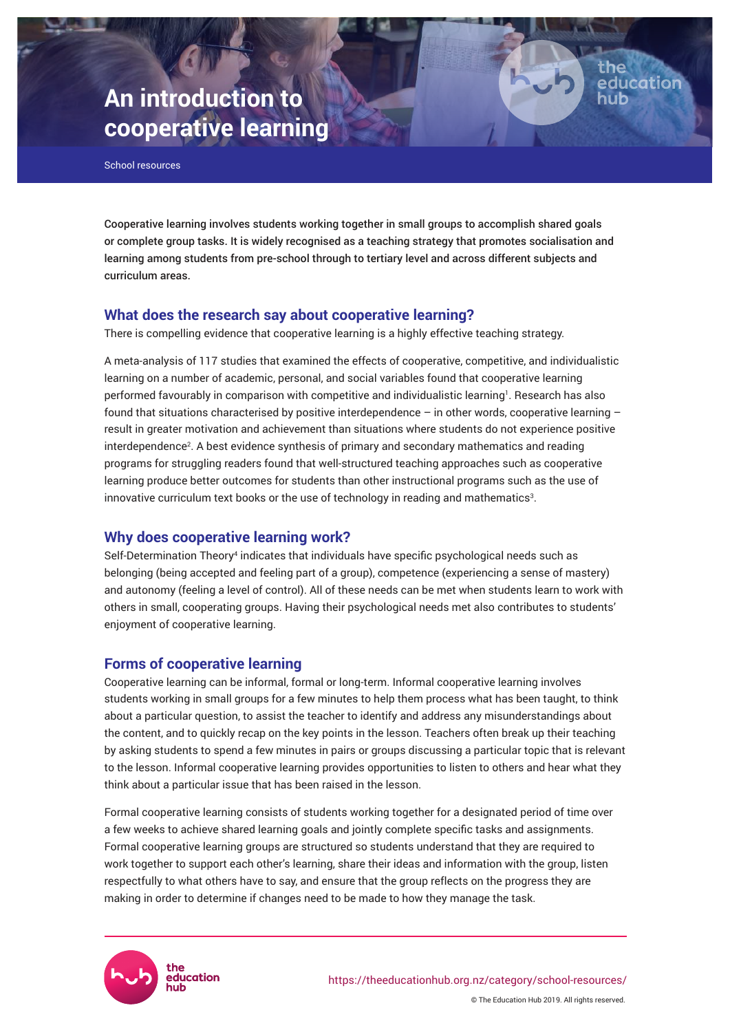# **An introduction to cooperative learning**

School resources

Cooperative learning involves students working together in small groups to accomplish shared goals or complete group tasks. It is widely recognised as a teaching strategy that promotes socialisation and learning among students from pre-school through to tertiary level and across different subjects and curriculum areas.

the

education

# **What does the research say about cooperative learning?**

There is compelling evidence that cooperative learning is a highly effective teaching strategy.

A meta-analysis of 117 studies that examined the effects of cooperative, competitive, and individualistic learning on a number of academic, personal, and social variables found that cooperative learning performed favourably in comparison with competitive and individualistic learning<sup>1</sup> . Research has also found that situations characterised by positive interdependence  $-$  in other words, cooperative learning  $$ result in greater motivation and achievement than situations where students do not experience positive interdependence<sup>2</sup> . A best evidence synthesis of primary and secondary mathematics and reading programs for struggling readers found that well-structured teaching approaches such as cooperative learning produce better outcomes for students than other instructional programs such as the use of innovative curriculum text books or the use of technology in reading and mathematics $3$ .

# **Why does cooperative learning work?**

Self-Determination Theory<sup>4</sup> indicates that individuals have specific psychological needs such as belonging (being accepted and feeling part of a group), competence (experiencing a sense of mastery) and autonomy (feeling a level of control). All of these needs can be met when students learn to work with others in small, cooperating groups. Having their psychological needs met also contributes to students' enjoyment of cooperative learning.

# **Forms of cooperative learning**

Cooperative learning can be informal, formal or long-term. Informal cooperative learning involves students working in small groups for a few minutes to help them process what has been taught, to think about a particular question, to assist the teacher to identify and address any misunderstandings about the content, and to quickly recap on the key points in the lesson. Teachers often break up their teaching by asking students to spend a few minutes in pairs or groups discussing a particular topic that is relevant to the lesson. Informal cooperative learning provides opportunities to listen to others and hear what they think about a particular issue that has been raised in the lesson.

Formal cooperative learning consists of students working together for a designated period of time over a few weeks to achieve shared learning goals and jointly complete specific tasks and assignments. Formal cooperative learning groups are structured so students understand that they are required to work together to support each other's learning, share their ideas and information with the group, listen respectfully to what others have to say, and ensure that the group reflects on the progress they are making in order to determine if changes need to be made to how they manage the task.

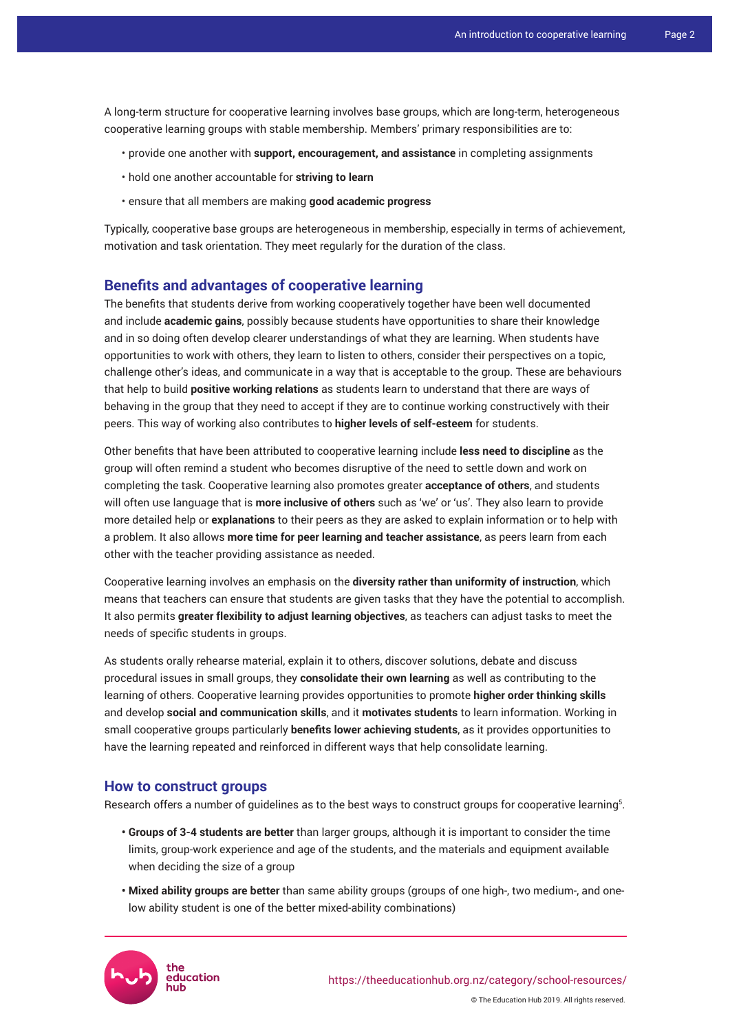A long-term structure for cooperative learning involves base groups, which are long-term, heterogeneous cooperative learning groups with stable membership. Members' primary responsibilities are to:

- provide one another with **support, encouragement, and assistance** in completing assignments
- hold one another accountable for **striving to learn**
- ensure that all members are making **good academic progress**

Typically, cooperative base groups are heterogeneous in membership, especially in terms of achievement, motivation and task orientation. They meet regularly for the duration of the class.

#### **Benefits and advantages of cooperative learning**

The benefits that students derive from working cooperatively together have been well documented and include **academic gains**, possibly because students have opportunities to share their knowledge and in so doing often develop clearer understandings of what they are learning. When students have opportunities to work with others, they learn to listen to others, consider their perspectives on a topic, challenge other's ideas, and communicate in a way that is acceptable to the group. These are behaviours that help to build **positive working relations** as students learn to understand that there are ways of behaving in the group that they need to accept if they are to continue working constructively with their peers. This way of working also contributes to **higher levels of self-esteem** for students.

Other benefits that have been attributed to cooperative learning include **less need to discipline** as the group will often remind a student who becomes disruptive of the need to settle down and work on completing the task. Cooperative learning also promotes greater **acceptance of others**, and students will often use language that is **more inclusive of others** such as 'we' or 'us'. They also learn to provide more detailed help or **explanations** to their peers as they are asked to explain information or to help with a problem. It also allows **more time for peer learning and teacher assistance**, as peers learn from each other with the teacher providing assistance as needed.

Cooperative learning involves an emphasis on the **diversity rather than uniformity of instruction**, which means that teachers can ensure that students are given tasks that they have the potential to accomplish. It also permits **greater flexibility to adjust learning objectives**, as teachers can adjust tasks to meet the needs of specific students in groups.

As students orally rehearse material, explain it to others, discover solutions, debate and discuss procedural issues in small groups, they **consolidate their own learning** as well as contributing to the learning of others. Cooperative learning provides opportunities to promote **higher order thinking skills** and develop **social and communication skills**, and it **motivates students** to learn information. Working in small cooperative groups particularly **benefits lower achieving students**, as it provides opportunities to have the learning repeated and reinforced in different ways that help consolidate learning.

#### **How to construct groups**

Research offers a number of guidelines as to the best ways to construct groups for cooperative learning $^{\rm 5.}$ 

- **Groups of 3-4 students are better** than larger groups, although it is important to consider the time limits, group-work experience and age of the students, and the materials and equipment available when deciding the size of a group
- **Mixed ability groups are better** than same ability groups (groups of one high-, two medium-, and onelow ability student is one of the better mixed-ability combinations)

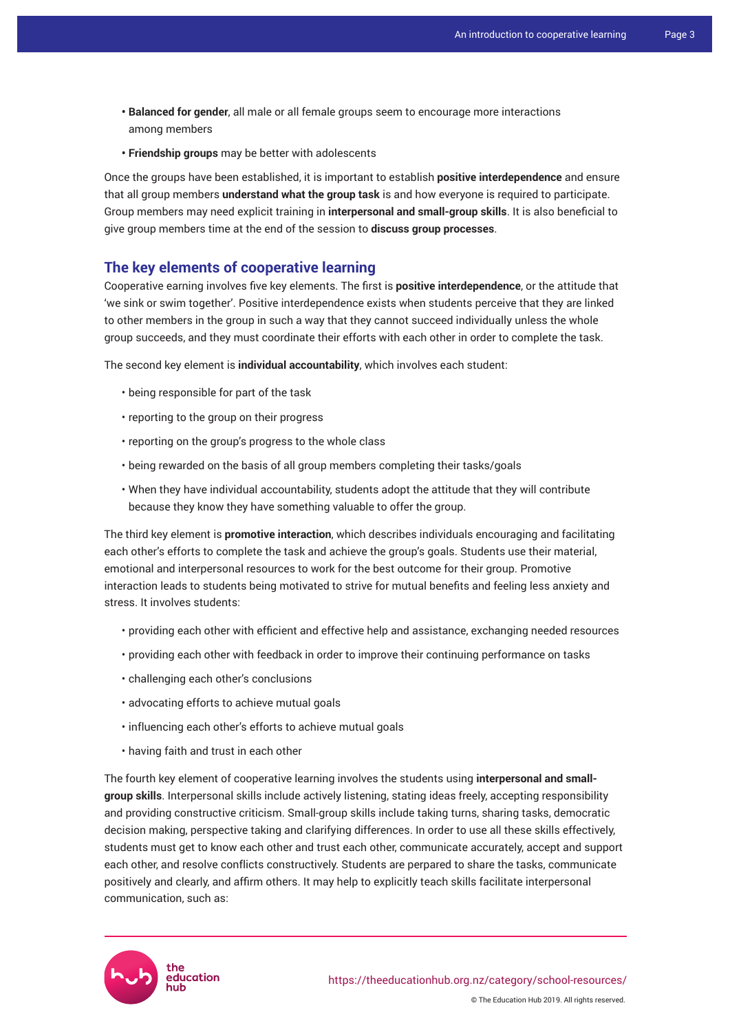- **Balanced for gender**, all male or all female groups seem to encourage more interactions among members
- **Friendship groups** may be better with adolescents

Once the groups have been established, it is important to establish **positive interdependence** and ensure that all group members **understand what the group task** is and how everyone is required to participate. Group members may need explicit training in **interpersonal and small-group skills**. It is also beneficial to give group members time at the end of the session to **discuss group processes**.

# **The key elements of cooperative learning**

Cooperative earning involves five key elements. The first is **positive interdependence**, or the attitude that 'we sink or swim together'. Positive interdependence exists when students perceive that they are linked to other members in the group in such a way that they cannot succeed individually unless the whole group succeeds, and they must coordinate their efforts with each other in order to complete the task.

The second key element is **individual accountability**, which involves each student:

- being responsible for part of the task
- reporting to the group on their progress
- reporting on the group's progress to the whole class
- being rewarded on the basis of all group members completing their tasks/goals
- When they have individual accountability, students adopt the attitude that they will contribute because they know they have something valuable to offer the group.

The third key element is **promotive interaction**, which describes individuals encouraging and facilitating each other's efforts to complete the task and achieve the group's goals. Students use their material, emotional and interpersonal resources to work for the best outcome for their group. Promotive interaction leads to students being motivated to strive for mutual benefits and feeling less anxiety and stress. It involves students:

- providing each other with efficient and effective help and assistance, exchanging needed resources
- providing each other with feedback in order to improve their continuing performance on tasks
- challenging each other's conclusions
- advocating efforts to achieve mutual goals
- influencing each other's efforts to achieve mutual goals
- having faith and trust in each other

The fourth key element of cooperative learning involves the students using **interpersonal and smallgroup skills**. Interpersonal skills include actively listening, stating ideas freely, accepting responsibility and providing constructive criticism. Small-group skills include taking turns, sharing tasks, democratic decision making, perspective taking and clarifying differences. In order to use all these skills effectively, students must get to know each other and trust each other, communicate accurately, accept and support each other, and resolve conflicts constructively. Students are perpared to share the tasks, communicate positively and clearly, and affirm others. It may help to explicitly teach skills facilitate interpersonal communication, such as:

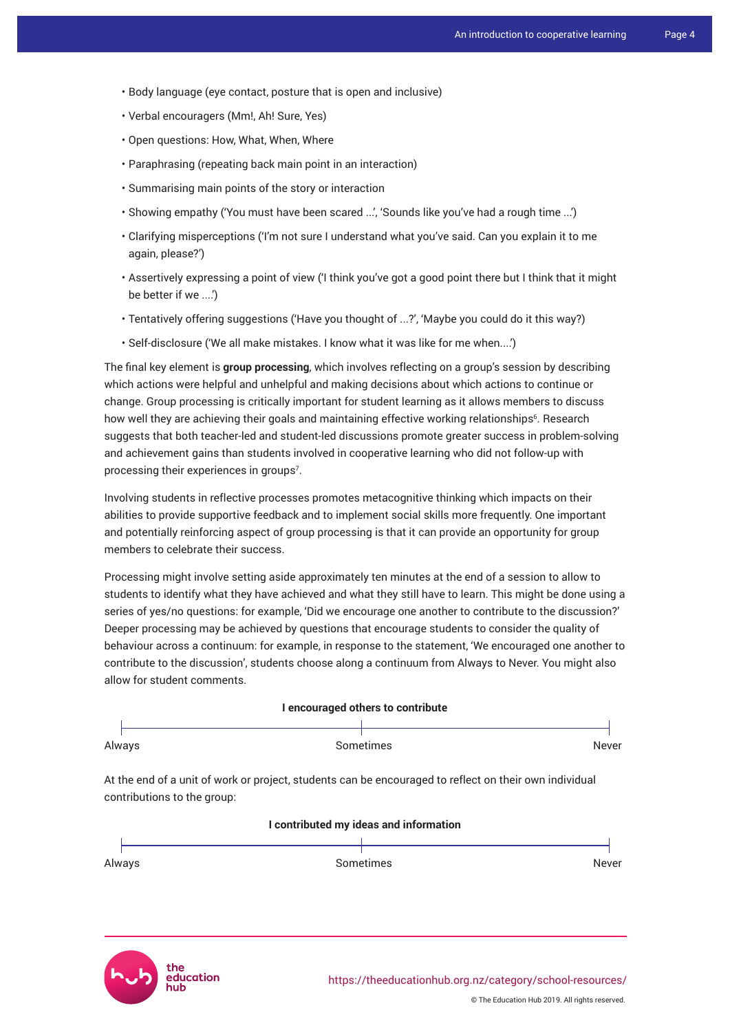- Body language (eye contact, posture that is open and inclusive)
- Verbal encouragers (Mm!, Ah! Sure, Yes)
- Open questions: How, What, When, Where
- Paraphrasing (repeating back main point in an interaction)
- Summarising main points of the story or interaction
- Showing empathy ('You must have been scared ...', 'Sounds like you've had a rough time ...')
- Clarifying misperceptions ('I'm not sure I understand what you've said. Can you explain it to me again, please?')
- Assertively expressing a point of view ('I think you've got a good point there but I think that it might be better if we ....')
- Tentatively offering suggestions ('Have you thought of ...?', 'Maybe you could do it this way?)
- Self-disclosure ('We all make mistakes. I know what it was like for me when....')

The final key element is **group processing**, which involves reflecting on a group's session by describing which actions were helpful and unhelpful and making decisions about which actions to continue or change. Group processing is critically important for student learning as it allows members to discuss how well they are achieving their goals and maintaining effective working relationships<sup>6</sup>. Research suggests that both teacher-led and student-led discussions promote greater success in problem-solving and achievement gains than students involved in cooperative learning who did not follow-up with processing their experiences in groups<sup>7</sup>.

Involving students in reflective processes promotes metacognitive thinking which impacts on their abilities to provide supportive feedback and to implement social skills more frequently. One important and potentially reinforcing aspect of group processing is that it can provide an opportunity for group members to celebrate their success.

Processing might involve setting aside approximately ten minutes at the end of a session to allow to students to identify what they have achieved and what they still have to learn. This might be done using a series of yes/no questions: for example, 'Did we encourage one another to contribute to the discussion?' Deeper processing may be achieved by questions that encourage students to consider the quality of behaviour across a continuum: for example, in response to the statement, 'We encouraged one another to contribute to the discussion', students choose along a continuum from Always to Never. You might also allow for student comments.

| I encouraged others to contribute                                                                                                     |  |  |  |  |  |  |
|---------------------------------------------------------------------------------------------------------------------------------------|--|--|--|--|--|--|
| Sometimes<br>Always<br>Never                                                                                                          |  |  |  |  |  |  |
| At the end of a unit of work or project, students can be encouraged to reflect on their own individual<br>contributions to the group: |  |  |  |  |  |  |
| I contributed my ideas and information                                                                                                |  |  |  |  |  |  |
|                                                                                                                                       |  |  |  |  |  |  |

AlwaysSometimesNever

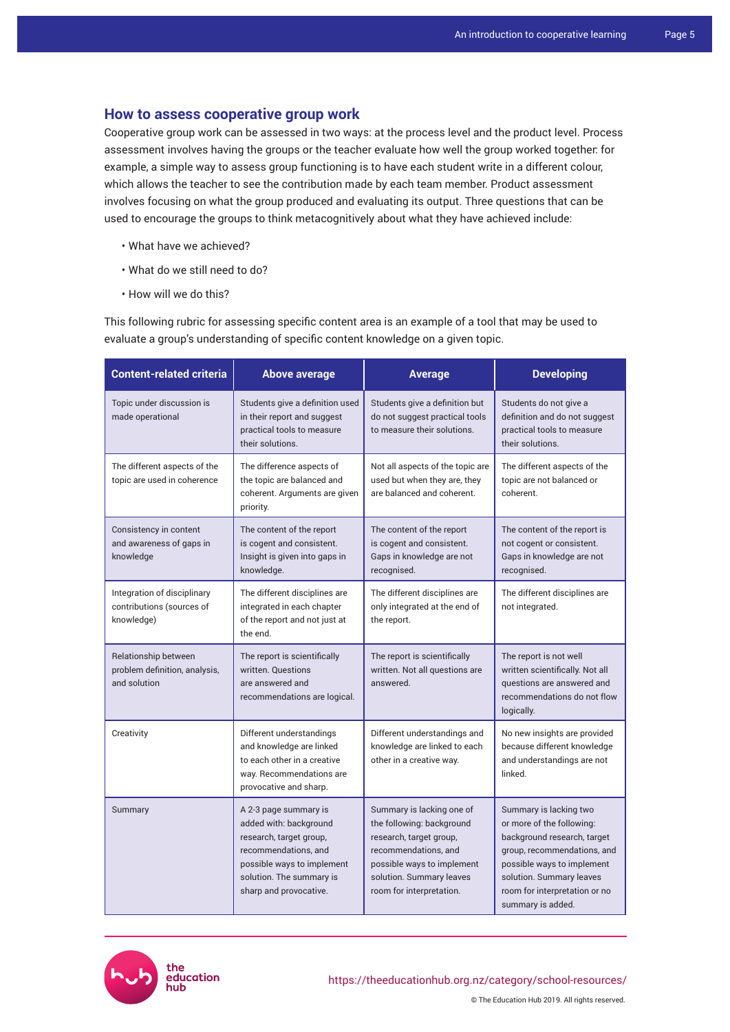### **How to assess cooperative group work**

Cooperative group work can be assessed in two ways: at the process level and the product level. Process assessment involves having the groups or the teacher evaluate how well the group worked together: for example, a simple way to assess group functioning is to have each student write in a different colour, which allows the teacher to see the contribution made by each team member. Product assessment involves focusing on what the group produced and evaluating its output. Three questions that can be used to encourage the groups to think metacognitively about what they have achieved include:

- What have we achieved?
- What do we still need to do?
- How will we do this?

This following rubric for assessing specific content area is an example of a tool that may be used to evaluate a group's understanding of specific content knowledge on a given topic.

| <b>Content-related criteria</b>                                        | <b>Above average</b>                                                                                                                                                                   | <b>Average</b>                                                                                                                                                                                  | <b>Developing</b>                                                                                                                                                                                                                 |
|------------------------------------------------------------------------|----------------------------------------------------------------------------------------------------------------------------------------------------------------------------------------|-------------------------------------------------------------------------------------------------------------------------------------------------------------------------------------------------|-----------------------------------------------------------------------------------------------------------------------------------------------------------------------------------------------------------------------------------|
| Topic under discussion is<br>made operational                          | Students give a definition used<br>in their report and suggest<br>practical tools to measure<br>their solutions.                                                                       | Students give a definition but<br>do not suggest practical tools<br>to measure their solutions.                                                                                                 | Students do not give a<br>definition and do not suggest<br>practical tools to measure<br>their solutions.                                                                                                                         |
| The different aspects of the<br>topic are used in coherence            | The difference aspects of<br>the topic are balanced and<br>coherent. Arguments are given<br>priority.                                                                                  | Not all aspects of the topic are<br>used but when they are, they<br>are balanced and coherent.                                                                                                  | The different aspects of the<br>topic are not balanced or<br>coherent.                                                                                                                                                            |
| Consistency in content<br>and awareness of gaps in<br>knowledge        | The content of the report<br>is cogent and consistent.<br>Insight is given into gaps in<br>knowledge.                                                                                  | The content of the report<br>is cogent and consistent.<br>Gaps in knowledge are not<br>recognised.                                                                                              | The content of the report is<br>not cogent or consistent.<br>Gaps in knowledge are not<br>recognised.                                                                                                                             |
| Integration of disciplinary<br>contributions (sources of<br>knowledge) | The different disciplines are<br>integrated in each chapter<br>of the report and not just at<br>the end.                                                                               | The different disciplines are<br>only integrated at the end of<br>the report.                                                                                                                   | The different disciplines are<br>not integrated.                                                                                                                                                                                  |
| Relationship between<br>problem definition, analysis,<br>and solution  | The report is scientifically<br>written. Questions<br>are answered and<br>recommendations are logical.                                                                                 | The report is scientifically<br>written. Not all questions are<br>answered.                                                                                                                     | The report is not well<br>written scientifically. Not all<br>questions are answered and<br>recommendations do not flow<br>logically.                                                                                              |
| Creativity                                                             | Different understandings<br>and knowledge are linked<br>to each other in a creative<br>way. Recommendations are<br>provocative and sharp.                                              | Different understandings and<br>knowledge are linked to each<br>other in a creative way.                                                                                                        | No new insights are provided<br>because different knowledge<br>and understandings are not<br>linked.                                                                                                                              |
| Summary                                                                | A 2-3 page summary is<br>added with: background<br>research, target group,<br>recommendations, and<br>possible ways to implement<br>solution. The summary is<br>sharp and provocative. | Summary is lacking one of<br>the following: background<br>research, target group,<br>recommendations, and<br>possible ways to implement<br>solution. Summary leaves<br>room for interpretation. | Summary is lacking two<br>or more of the following:<br>background research, target<br>group, recommendations, and<br>possible ways to implement<br>solution. Summary leaves<br>room for interpretation or no<br>summary is added. |